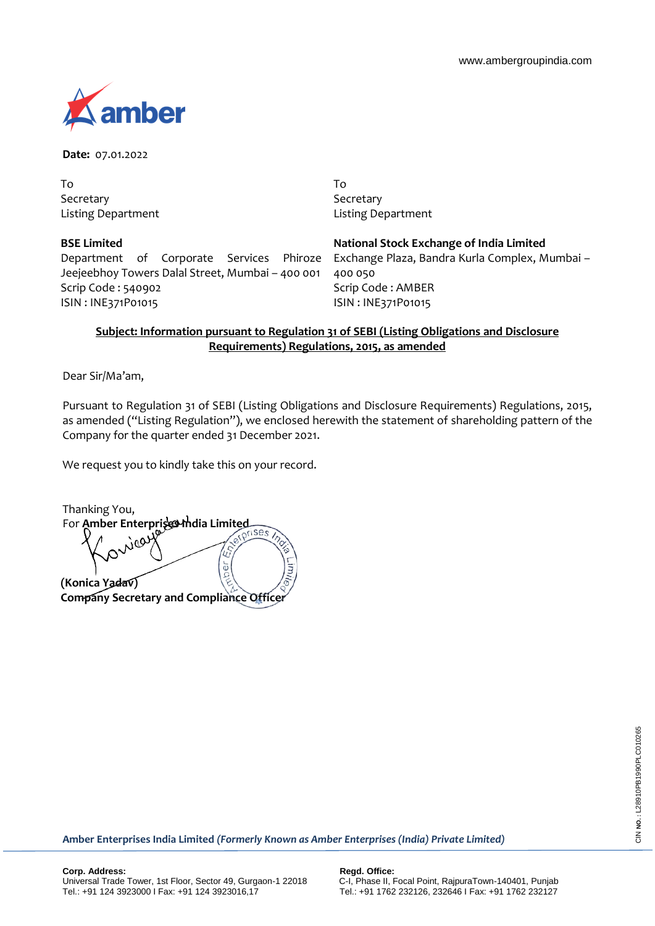

**Date:** 07.01.2022

To Secretary Listing Department

## **BSE Limited**

Department of Corporate Services Phiroze Jeejeebhoy Towers Dalal Street, Mumbai – 400 001 Scrip Code : 540902 ISIN : INE371P01015

To Secretary Listing Department

**National Stock Exchange of India Limited** Exchange Plaza, Bandra Kurla Complex, Mumbai –

400 050 Scrip Code : AMBER ISIN : INE371P01015

# **Subject: Information pursuant to Regulation 31 of SEBI (Listing Obligations and Disclosure Requirements) Regulations, 2015, as amended**

Dear Sir/Ma'am,

Pursuant to Regulation 31 of SEBI (Listing Obligations and Disclosure Requirements) Regulations, 2015, as amended ("Listing Regulation"), we enclosed herewith the statement of shareholding pattern of the Company for the quarter ended 31 December 2021.

We request you to kindly take this on your record.

Thanking You, For **Amber Enterprises thdia Limited**  $\frac{1}{9}$ **(Konica Yadav) Company Secretary and Compliance Officer**

**Amber Enterprises India Limited** *(Formerly Known as Amber Enterprises (India) Private Limited)*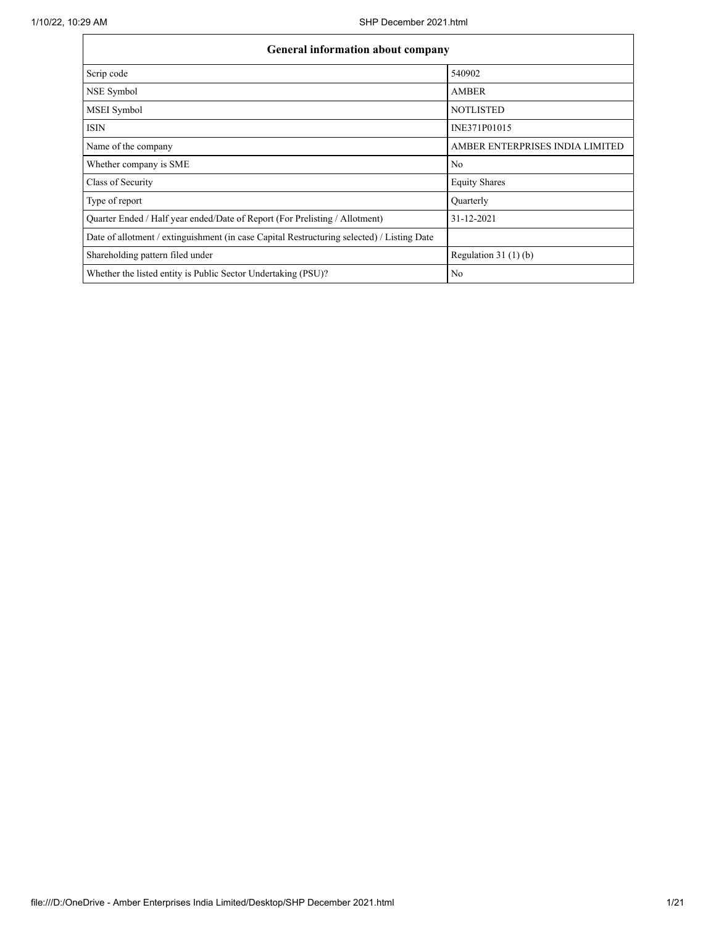| <b>General information about company</b>                                                   |                                 |  |  |  |  |  |  |  |  |
|--------------------------------------------------------------------------------------------|---------------------------------|--|--|--|--|--|--|--|--|
| Scrip code                                                                                 | 540902                          |  |  |  |  |  |  |  |  |
| NSE Symbol                                                                                 | <b>AMBER</b>                    |  |  |  |  |  |  |  |  |
| MSEI Symbol                                                                                | <b>NOTLISTED</b>                |  |  |  |  |  |  |  |  |
| <b>ISIN</b>                                                                                | INE371P01015                    |  |  |  |  |  |  |  |  |
| Name of the company                                                                        | AMBER ENTERPRISES INDIA LIMITED |  |  |  |  |  |  |  |  |
| Whether company is SME                                                                     | N <sub>0</sub>                  |  |  |  |  |  |  |  |  |
| Class of Security                                                                          | <b>Equity Shares</b>            |  |  |  |  |  |  |  |  |
| Type of report                                                                             | Quarterly                       |  |  |  |  |  |  |  |  |
| Quarter Ended / Half year ended/Date of Report (For Prelisting / Allotment)                | 31-12-2021                      |  |  |  |  |  |  |  |  |
| Date of allotment / extinguishment (in case Capital Restructuring selected) / Listing Date |                                 |  |  |  |  |  |  |  |  |
| Shareholding pattern filed under                                                           | Regulation $31(1)(b)$           |  |  |  |  |  |  |  |  |
| Whether the listed entity is Public Sector Undertaking (PSU)?                              | N <sub>0</sub>                  |  |  |  |  |  |  |  |  |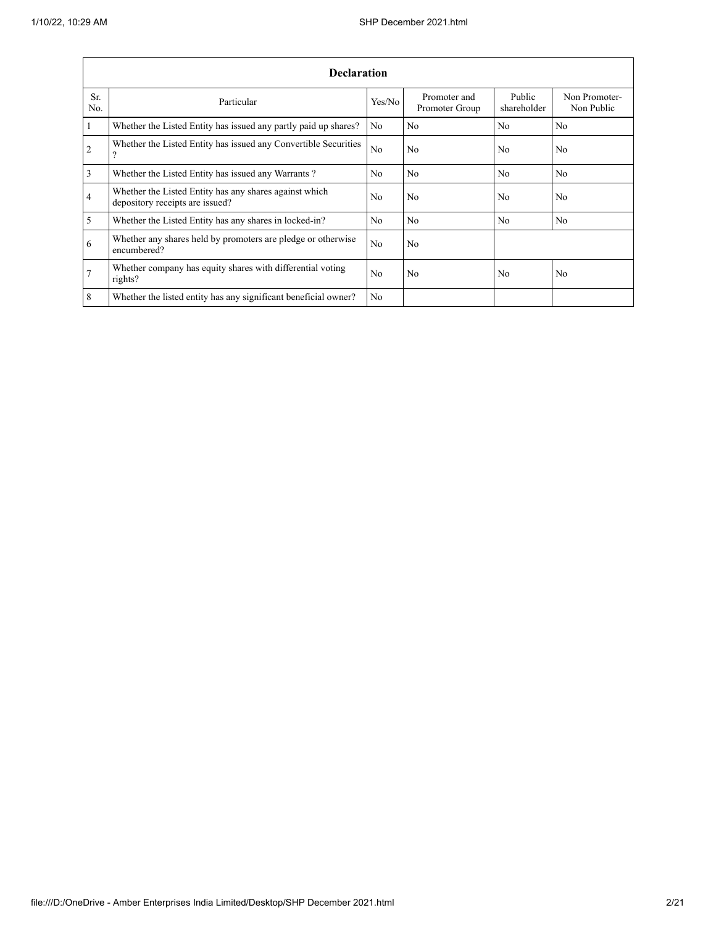|                | <b>Declaration</b>                                                                        |                |                                |                       |                             |  |  |  |  |  |  |  |
|----------------|-------------------------------------------------------------------------------------------|----------------|--------------------------------|-----------------------|-----------------------------|--|--|--|--|--|--|--|
| Sr.<br>No.     | Particular                                                                                | Yes/No         | Promoter and<br>Promoter Group | Public<br>shareholder | Non Promoter-<br>Non Public |  |  |  |  |  |  |  |
| $\mathbf{1}$   | Whether the Listed Entity has issued any partly paid up shares?                           | No             | No                             | No                    | No                          |  |  |  |  |  |  |  |
| $\overline{2}$ | Whether the Listed Entity has issued any Convertible Securities<br>$\Omega$               | N <sub>0</sub> | N <sub>0</sub>                 | N <sub>0</sub>        | N <sub>0</sub>              |  |  |  |  |  |  |  |
| 3              | Whether the Listed Entity has issued any Warrants?                                        | N <sub>0</sub> | N <sub>0</sub>                 | N <sub>0</sub>        | No                          |  |  |  |  |  |  |  |
| 4              | Whether the Listed Entity has any shares against which<br>depository receipts are issued? | N <sub>0</sub> | No                             | N <sub>0</sub>        | No                          |  |  |  |  |  |  |  |
| 5              | Whether the Listed Entity has any shares in locked-in?                                    | No             | No                             | No                    | No                          |  |  |  |  |  |  |  |
| 6              | Whether any shares held by promoters are pledge or otherwise<br>encumbered?               | N <sub>0</sub> | No                             |                       |                             |  |  |  |  |  |  |  |
| $\overline{7}$ | Whether company has equity shares with differential voting<br>rights?                     | No             | No                             | No                    | No                          |  |  |  |  |  |  |  |
| 8              | Whether the listed entity has any significant beneficial owner?                           | N <sub>0</sub> |                                |                       |                             |  |  |  |  |  |  |  |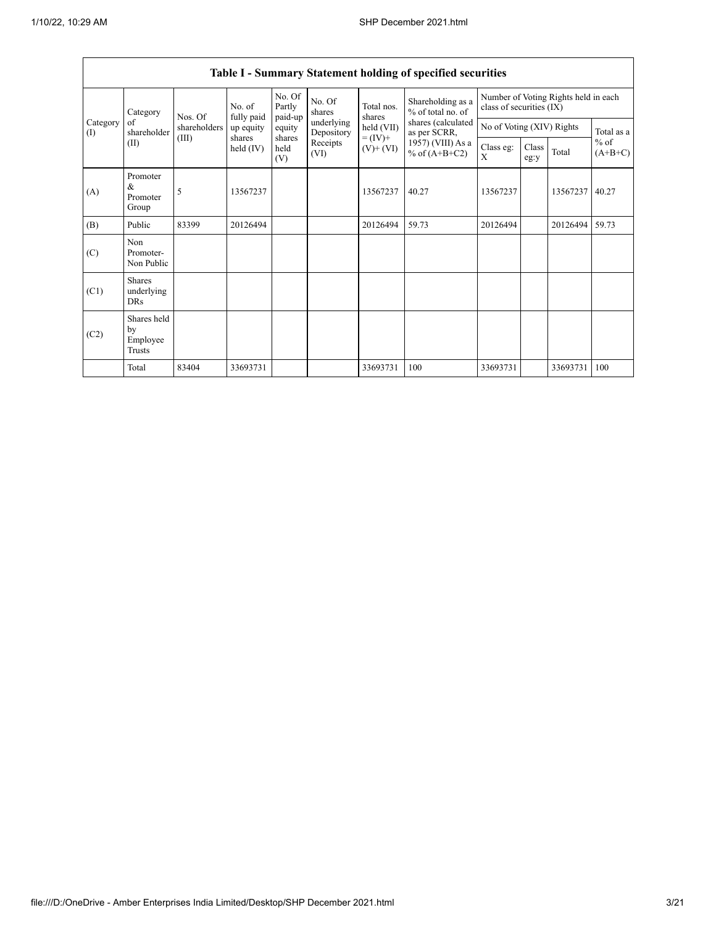|                 | Table 1 - Summary Statement holding or specified securities |                                  |                      |                             |                          |                              |                                        |                                                                  |                           |          |                     |  |  |  |
|-----------------|-------------------------------------------------------------|----------------------------------|----------------------|-----------------------------|--------------------------|------------------------------|----------------------------------------|------------------------------------------------------------------|---------------------------|----------|---------------------|--|--|--|
|                 | Category<br>of<br>shareholder<br>(II)                       | Nos. Of<br>shareholders<br>(III) | No. of<br>fully paid | No. Of<br>Partly<br>paid-up | No. Of<br>shares         | Total nos.<br>shares         | Shareholding as a<br>% of total no. of | Number of Voting Rights held in each<br>class of securities (IX) |                           |          |                     |  |  |  |
| Category<br>(I) |                                                             |                                  | up equity            | equity                      | underlying<br>Depository | held (VII)                   | shares (calculated<br>as per SCRR,     |                                                                  | No of Voting (XIV) Rights |          | Total as a          |  |  |  |
|                 |                                                             |                                  | shares<br>held (IV)  | shares<br>held<br>(V)       | Receipts<br>(VI)         | $= (IV) +$<br>$(V)$ + $(VI)$ | 1957) (VIII) As a<br>% of $(A+B+C2)$   | Class eg:<br>X                                                   | Class<br>eg:y             | Total    | $%$ of<br>$(A+B+C)$ |  |  |  |
| (A)             | Promoter<br>&<br>Promoter<br>Group                          | 5                                | 13567237             |                             |                          | 13567237                     | 40.27                                  | 13567237                                                         |                           | 13567237 | 40.27               |  |  |  |
| (B)             | Public                                                      | 83399                            | 20126494             |                             |                          | 20126494                     | 59.73                                  | 20126494                                                         |                           | 20126494 | 59.73               |  |  |  |
| (C)             | Non<br>Promoter-<br>Non Public                              |                                  |                      |                             |                          |                              |                                        |                                                                  |                           |          |                     |  |  |  |
| (C1)            | <b>Shares</b><br>underlying<br>DRs                          |                                  |                      |                             |                          |                              |                                        |                                                                  |                           |          |                     |  |  |  |
| (C2)            | Shares held<br>by<br>Employee<br>Trusts                     |                                  |                      |                             |                          |                              |                                        |                                                                  |                           |          |                     |  |  |  |
|                 | Total                                                       | 83404                            | 33693731             |                             |                          | 33693731                     | 100                                    | 33693731                                                         |                           | 33693731 | 100                 |  |  |  |

## **Table I - Summary Statement holding of specified securities**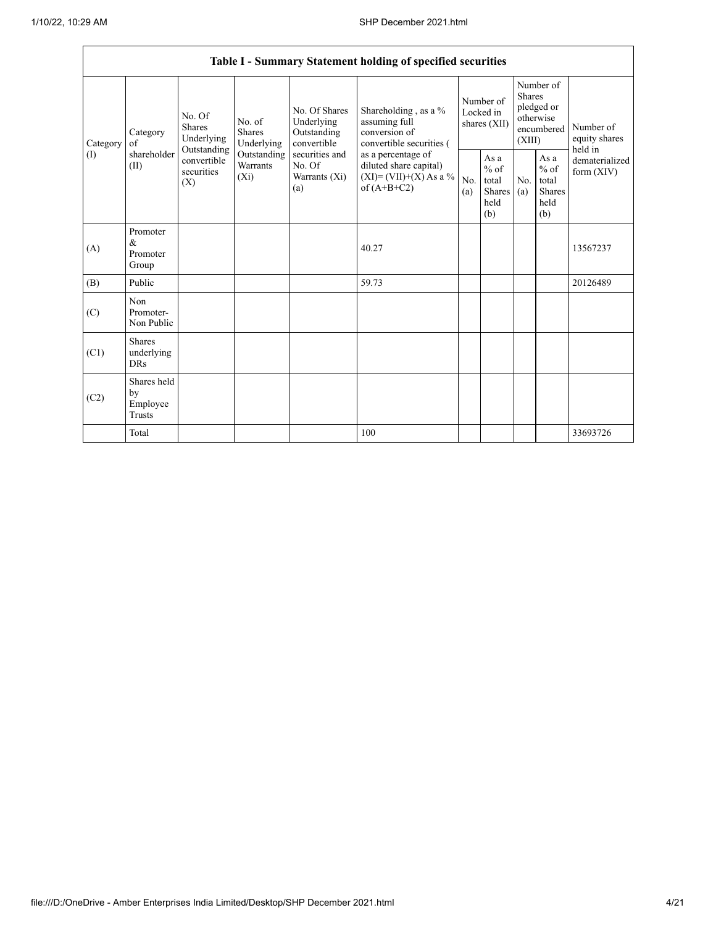$\mathsf{r}$ 

|                 |                                           |                                                         |                                |                                                                                                               | Table I - Summary Statement holding of specified securities                                                                                                                      |                                        |                                                   |                                                                               |                                                  |                                       |
|-----------------|-------------------------------------------|---------------------------------------------------------|--------------------------------|---------------------------------------------------------------------------------------------------------------|----------------------------------------------------------------------------------------------------------------------------------------------------------------------------------|----------------------------------------|---------------------------------------------------|-------------------------------------------------------------------------------|--------------------------------------------------|---------------------------------------|
| Category<br>(I) | Category<br>of<br>shareholder<br>(II)     | No. Of<br><b>Shares</b><br>Underlying<br>Outstanding    | No. of<br>Shares<br>Underlying | No. Of Shares<br>Underlying<br>Outstanding<br>convertible<br>securities and<br>No. Of<br>Warrants (Xi)<br>(a) | Shareholding, as a %<br>assuming full<br>conversion of<br>convertible securities (<br>as a percentage of<br>diluted share capital)<br>$(XI) = (VII)+(X) As a %$<br>of $(A+B+C2)$ | Number of<br>Locked in<br>shares (XII) |                                                   | Number of<br><b>Shares</b><br>pledged or<br>otherwise<br>encumbered<br>(XIII) |                                                  | Number of<br>equity shares<br>held in |
|                 |                                           | convertible<br>Warrants<br>securities<br>$(X_i)$<br>(X) | Outstanding                    |                                                                                                               |                                                                                                                                                                                  | No.<br>(a)                             | As a<br>$\%$ of<br>total<br>Shares<br>held<br>(b) | No.<br>(a)                                                                    | As a<br>$%$ of<br>total<br>Shares<br>held<br>(b) | dematerialized<br>form $(XIV)$        |
| (A)             | Promoter<br>$\&$<br>Promoter<br>Group     |                                                         |                                |                                                                                                               | 40.27                                                                                                                                                                            |                                        |                                                   |                                                                               |                                                  | 13567237                              |
| (B)             | Public                                    |                                                         |                                |                                                                                                               | 59.73                                                                                                                                                                            |                                        |                                                   |                                                                               |                                                  | 20126489                              |
| (C)             | Non<br>Promoter-<br>Non Public            |                                                         |                                |                                                                                                               |                                                                                                                                                                                  |                                        |                                                   |                                                                               |                                                  |                                       |
| (C1)            | <b>Shares</b><br>underlying<br><b>DRs</b> |                                                         |                                |                                                                                                               |                                                                                                                                                                                  |                                        |                                                   |                                                                               |                                                  |                                       |
| (C2)            | Shares held<br>by<br>Employee<br>Trusts   |                                                         |                                |                                                                                                               |                                                                                                                                                                                  |                                        |                                                   |                                                                               |                                                  |                                       |
|                 | Total                                     |                                                         |                                |                                                                                                               | 100                                                                                                                                                                              |                                        |                                                   |                                                                               |                                                  | 33693726                              |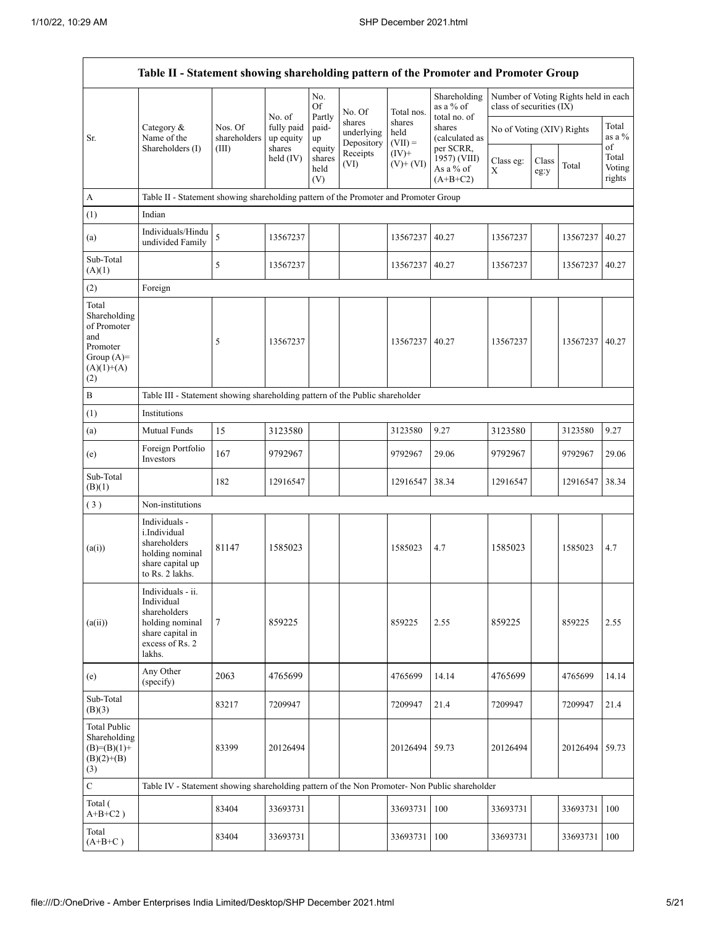|                                                                                                | Table II - Statement showing shareholding pattern of the Promoter and Promoter Group                                |                         |                         |                                 |                                    |                             |                                                      |                           |               |                                      |                           |
|------------------------------------------------------------------------------------------------|---------------------------------------------------------------------------------------------------------------------|-------------------------|-------------------------|---------------------------------|------------------------------------|-----------------------------|------------------------------------------------------|---------------------------|---------------|--------------------------------------|---------------------------|
|                                                                                                |                                                                                                                     |                         | No. of                  | No.<br><b>Of</b>                | No. Of                             | Total nos.                  | Shareholding<br>as a % of<br>total no. of            | class of securities (IX)  |               | Number of Voting Rights held in each |                           |
| Sr.                                                                                            | Category &<br>Name of the<br>Shareholders (I)                                                                       | Nos. Of<br>shareholders | fully paid<br>up equity | Partly<br>paid-<br>up           | shares<br>underlying<br>Depository | shares<br>held<br>$(VII) =$ | shares<br>(calculated as                             | No of Voting (XIV) Rights |               |                                      | Total<br>as a %<br>of     |
|                                                                                                |                                                                                                                     | (III)                   | shares<br>held (IV)     | equity<br>shares<br>held<br>(V) | Receipts<br>(VI)                   | $(IV)$ +<br>$(V)$ + $(VI)$  | per SCRR,<br>1957) (VIII)<br>As a % of<br>$(A+B+C2)$ | Class eg:<br>X            | Class<br>eg:y | Total                                | Total<br>Voting<br>rights |
| A                                                                                              | Table II - Statement showing shareholding pattern of the Promoter and Promoter Group                                |                         |                         |                                 |                                    |                             |                                                      |                           |               |                                      |                           |
| (1)                                                                                            | Indian                                                                                                              |                         |                         |                                 |                                    |                             |                                                      |                           |               |                                      |                           |
| (a)                                                                                            | Individuals/Hindu<br>undivided Family                                                                               | 5                       | 13567237                |                                 |                                    | 13567237                    | 40.27                                                | 13567237                  |               | 13567237                             | 40.27                     |
| Sub-Total<br>(A)(1)                                                                            |                                                                                                                     | 5                       | 13567237                |                                 |                                    | 13567237                    | 40.27                                                | 13567237                  |               | 13567237                             | 40.27                     |
| (2)                                                                                            | Foreign                                                                                                             |                         |                         |                                 |                                    |                             |                                                      |                           |               |                                      |                           |
| Total<br>Shareholding<br>of Promoter<br>and<br>Promoter<br>Group $(A)=$<br>$(A)(1)+(A)$<br>(2) |                                                                                                                     | 5                       | 13567237                |                                 |                                    | 13567237                    | 40.27                                                | 13567237                  |               | 13567237                             | 40.27                     |
| $\, {\bf B}$                                                                                   | Table III - Statement showing shareholding pattern of the Public shareholder                                        |                         |                         |                                 |                                    |                             |                                                      |                           |               |                                      |                           |
| (1)                                                                                            | Institutions                                                                                                        |                         |                         |                                 |                                    |                             |                                                      |                           |               |                                      |                           |
| (a)                                                                                            | Mutual Funds                                                                                                        | 15                      | 3123580                 |                                 |                                    | 3123580                     | 9.27                                                 | 3123580                   |               | 3123580                              | 9.27                      |
| (e)                                                                                            | Foreign Portfolio<br>Investors                                                                                      | 167                     | 9792967                 |                                 |                                    | 9792967                     | 29.06                                                | 9792967                   |               | 9792967                              | 29.06                     |
| Sub-Total<br>(B)(1)                                                                            |                                                                                                                     | 182                     | 12916547                |                                 |                                    | 12916547                    | 38.34                                                | 12916547                  |               | 12916547                             | 38.34                     |
| (3)                                                                                            | Non-institutions                                                                                                    |                         |                         |                                 |                                    |                             |                                                      |                           |               |                                      |                           |
| (a(i))                                                                                         | Individuals -<br>i.Individual<br>shareholders<br>holding nominal<br>share capital up<br>to Rs. 2 lakhs.             | 81147                   | 1585023                 |                                 |                                    | 1585023                     | 4.7                                                  | 1585023                   |               | 1585023                              | 4.7                       |
| (a(ii))                                                                                        | Individuals - ii.<br>Individual<br>shareholders<br>holding nominal<br>share capital in<br>excess of Rs. 2<br>lakhs. | $\tau$                  | 859225                  |                                 |                                    | 859225                      | 2.55                                                 | 859225                    |               | 859225                               | 2.55                      |
| (e)                                                                                            | Any Other<br>(specify)                                                                                              | 2063                    | 4765699                 |                                 |                                    | 4765699                     | 14.14                                                | 4765699                   |               | 4765699                              | 14.14                     |
| Sub-Total<br>(B)(3)                                                                            |                                                                                                                     | 83217                   | 7209947                 |                                 |                                    | 7209947                     | 21.4                                                 | 7209947                   |               | 7209947                              | 21.4                      |
| Total Public<br>Shareholding<br>$(B)=(B)(1)+$<br>$(B)(2)+(B)$<br>(3)                           |                                                                                                                     | 83399                   | 20126494                |                                 |                                    | 20126494 59.73              |                                                      | 20126494                  |               | 20126494                             | 59.73                     |
| $\mathbf C$                                                                                    | Table IV - Statement showing shareholding pattern of the Non Promoter- Non Public shareholder                       |                         |                         |                                 |                                    |                             |                                                      |                           |               |                                      |                           |
| Total (<br>$A+B+C2$ )                                                                          |                                                                                                                     | 83404                   | 33693731                |                                 |                                    | 33693731                    | 100                                                  | 33693731                  |               | 33693731                             | 100                       |
| Total<br>$(A+B+C)$                                                                             |                                                                                                                     | 83404                   | 33693731                |                                 |                                    | 33693731                    | 100                                                  | 33693731                  |               | 33693731                             | 100                       |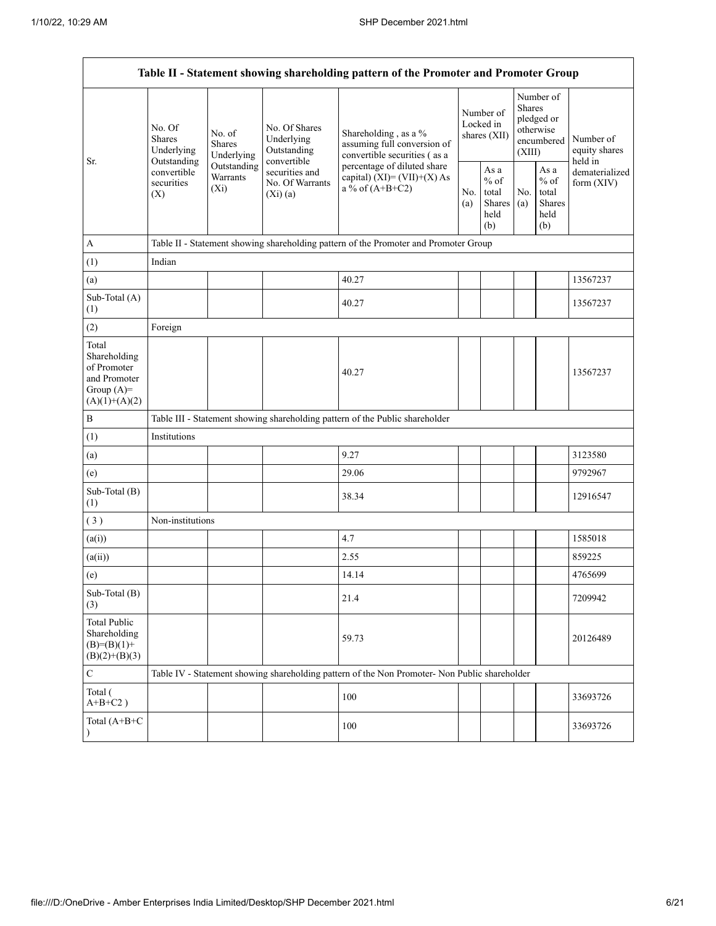| Table II - Statement showing shareholding pattern of the Promoter and Promoter Group    |                                                                                      |                                       |                                                           |                                                                                               |                                        |                                                  |                                                                               |                                                  |                                       |  |  |  |
|-----------------------------------------------------------------------------------------|--------------------------------------------------------------------------------------|---------------------------------------|-----------------------------------------------------------|-----------------------------------------------------------------------------------------------|----------------------------------------|--------------------------------------------------|-------------------------------------------------------------------------------|--------------------------------------------------|---------------------------------------|--|--|--|
|                                                                                         | No. Of<br><b>Shares</b><br>Underlying                                                | No. of<br><b>Shares</b><br>Underlying | No. Of Shares<br>Underlying<br>Outstanding<br>convertible | Shareholding, as a %<br>assuming full conversion of<br>convertible securities (as a           | Number of<br>Locked in<br>shares (XII) |                                                  | Number of<br><b>Shares</b><br>pledged or<br>otherwise<br>encumbered<br>(XIII) |                                                  | Number of<br>equity shares<br>held in |  |  |  |
| Sr.                                                                                     | Outstanding<br>convertible<br>securities<br>(X)                                      | Outstanding<br>Warrants<br>$(X_i)$    | securities and<br>No. Of Warrants<br>(Xi)(a)              | percentage of diluted share<br>capital) $(XI) = (VII)+(X) As$<br>a % of $(A+B+C2)$            |                                        | As a<br>$%$ of<br>total<br>Shares<br>held<br>(b) | No.<br>(a)                                                                    | As a<br>$%$ of<br>total<br>Shares<br>held<br>(b) | dematerialized<br>form $(XIV)$        |  |  |  |
| $\mathbf{A}$                                                                            | Table II - Statement showing shareholding pattern of the Promoter and Promoter Group |                                       |                                                           |                                                                                               |                                        |                                                  |                                                                               |                                                  |                                       |  |  |  |
| (1)                                                                                     | Indian                                                                               |                                       |                                                           |                                                                                               |                                        |                                                  |                                                                               |                                                  |                                       |  |  |  |
| (a)                                                                                     |                                                                                      |                                       |                                                           | 40.27                                                                                         |                                        |                                                  |                                                                               |                                                  | 13567237                              |  |  |  |
| Sub-Total (A)<br>(1)                                                                    |                                                                                      |                                       |                                                           | 40.27                                                                                         |                                        |                                                  |                                                                               |                                                  | 13567237                              |  |  |  |
| (2)                                                                                     | Foreign                                                                              |                                       |                                                           |                                                                                               |                                        |                                                  |                                                                               |                                                  |                                       |  |  |  |
| Total<br>Shareholding<br>of Promoter<br>and Promoter<br>Group $(A)=$<br>$(A)(1)+(A)(2)$ |                                                                                      |                                       |                                                           | 40.27                                                                                         |                                        |                                                  |                                                                               |                                                  | 13567237                              |  |  |  |
| $\, {\bf B}$                                                                            |                                                                                      |                                       |                                                           | Table III - Statement showing shareholding pattern of the Public shareholder                  |                                        |                                                  |                                                                               |                                                  |                                       |  |  |  |
| (1)                                                                                     | Institutions                                                                         |                                       |                                                           |                                                                                               |                                        |                                                  |                                                                               |                                                  |                                       |  |  |  |
| (a)                                                                                     |                                                                                      |                                       |                                                           | 9.27                                                                                          |                                        |                                                  |                                                                               |                                                  | 3123580                               |  |  |  |
| (e)                                                                                     |                                                                                      |                                       |                                                           | 29.06                                                                                         |                                        |                                                  |                                                                               |                                                  | 9792967                               |  |  |  |
| Sub-Total (B)<br>(1)                                                                    |                                                                                      |                                       |                                                           | 38.34                                                                                         |                                        |                                                  |                                                                               |                                                  | 12916547                              |  |  |  |
| (3)                                                                                     | Non-institutions                                                                     |                                       |                                                           |                                                                                               |                                        |                                                  |                                                                               |                                                  |                                       |  |  |  |
| (a(i))                                                                                  |                                                                                      |                                       |                                                           | 4.7                                                                                           |                                        |                                                  |                                                                               |                                                  | 1585018                               |  |  |  |
| (a(ii))                                                                                 |                                                                                      |                                       |                                                           | 2.55                                                                                          |                                        |                                                  |                                                                               |                                                  | 859225                                |  |  |  |
| (e)                                                                                     |                                                                                      |                                       |                                                           | 14.14                                                                                         |                                        |                                                  |                                                                               |                                                  | 4765699                               |  |  |  |
| Sub-Total (B)<br>(3)                                                                    |                                                                                      |                                       |                                                           | 21.4                                                                                          |                                        |                                                  |                                                                               |                                                  | 7209942                               |  |  |  |
| <b>Total Public</b><br>Shareholding<br>$(B)=(B)(1)+$<br>$(B)(2)+(B)(3)$                 |                                                                                      |                                       |                                                           | 59.73                                                                                         |                                        |                                                  |                                                                               |                                                  | 20126489                              |  |  |  |
| $\mathbf C$                                                                             |                                                                                      |                                       |                                                           | Table IV - Statement showing shareholding pattern of the Non Promoter- Non Public shareholder |                                        |                                                  |                                                                               |                                                  |                                       |  |  |  |
| Total (<br>$A+B+C2$ )                                                                   |                                                                                      |                                       |                                                           | 100                                                                                           |                                        |                                                  |                                                                               |                                                  | 33693726                              |  |  |  |
| Total (A+B+C<br>$\lambda$                                                               |                                                                                      |                                       |                                                           | 100                                                                                           |                                        |                                                  |                                                                               |                                                  | 33693726                              |  |  |  |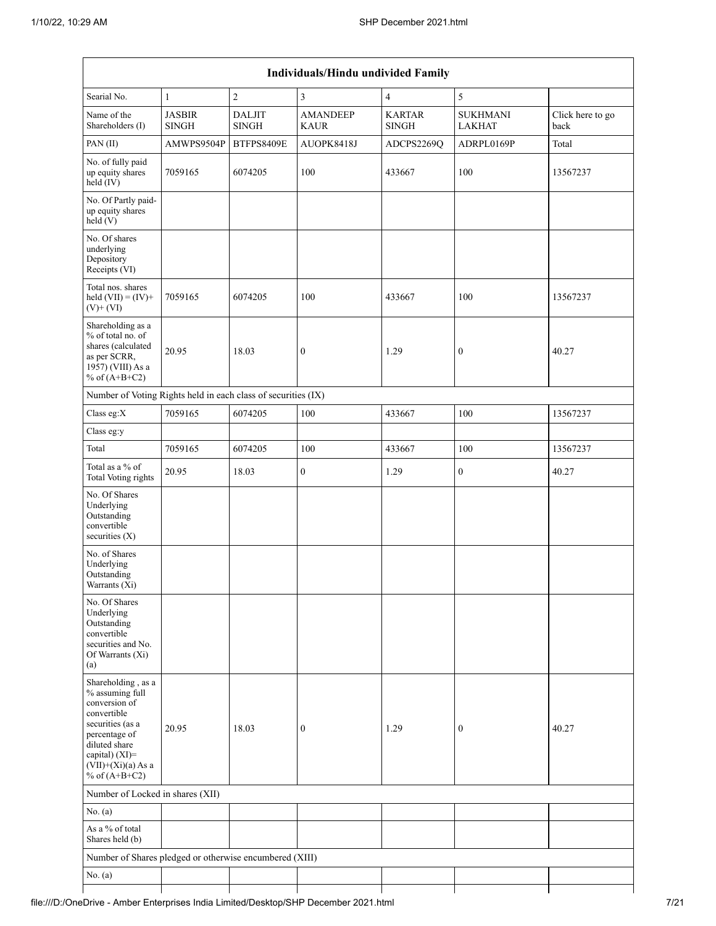| Individuals/Hindu undivided Family                                                                                                                                                          |                               |                               |                                |                               |                                  |                          |  |  |  |  |  |
|---------------------------------------------------------------------------------------------------------------------------------------------------------------------------------------------|-------------------------------|-------------------------------|--------------------------------|-------------------------------|----------------------------------|--------------------------|--|--|--|--|--|
| Searial No.                                                                                                                                                                                 | $\mathbf{1}$                  | $\overline{c}$                | $\mathfrak{Z}$                 | $\overline{4}$                | $\mathfrak s$                    |                          |  |  |  |  |  |
| Name of the<br>Shareholders (I)                                                                                                                                                             | <b>JASBIR</b><br><b>SINGH</b> | <b>DALJIT</b><br><b>SINGH</b> | <b>AMANDEEP</b><br><b>KAUR</b> | <b>KARTAR</b><br><b>SINGH</b> | <b>SUKHMANI</b><br><b>LAKHAT</b> | Click here to go<br>back |  |  |  |  |  |
| PAN (II)                                                                                                                                                                                    | AMWPS9504P                    | BTFPS8409E                    | AUOPK8418J                     | ADCPS2269Q                    | ADRPL0169P                       | Total                    |  |  |  |  |  |
| No. of fully paid<br>up equity shares<br>$held$ (IV)                                                                                                                                        | 7059165                       | 6074205                       | 100                            | 433667                        | 100                              | 13567237                 |  |  |  |  |  |
| No. Of Partly paid-<br>up equity shares<br>held(V)                                                                                                                                          |                               |                               |                                |                               |                                  |                          |  |  |  |  |  |
| No. Of shares<br>underlying<br>Depository<br>Receipts (VI)                                                                                                                                  |                               |                               |                                |                               |                                  |                          |  |  |  |  |  |
| Total nos. shares<br>held $(VII) = (IV) +$<br>$(V)$ + $(VI)$                                                                                                                                | 7059165                       | 6074205                       | 100                            | 433667                        | 100                              | 13567237                 |  |  |  |  |  |
| Shareholding as a<br>% of total no. of<br>shares (calculated<br>as per SCRR,<br>1957) (VIII) As a<br>% of $(A+B+C2)$                                                                        | 20.95                         | 18.03                         | $\boldsymbol{0}$               | 1.29                          | $\boldsymbol{0}$                 | 40.27                    |  |  |  |  |  |
| Number of Voting Rights held in each class of securities (IX)                                                                                                                               |                               |                               |                                |                               |                                  |                          |  |  |  |  |  |
| Class eg:X                                                                                                                                                                                  | 7059165                       | 6074205                       | 100                            | 433667                        | 100                              | 13567237                 |  |  |  |  |  |
| Class eg:y                                                                                                                                                                                  |                               |                               |                                |                               |                                  |                          |  |  |  |  |  |
| Total                                                                                                                                                                                       | 7059165                       | 6074205                       | 100                            | 433667                        | 100                              | 13567237                 |  |  |  |  |  |
| Total as a % of<br>Total Voting rights                                                                                                                                                      | 20.95                         | 18.03                         | $\boldsymbol{0}$               | 1.29                          | $\overline{0}$                   | 40.27                    |  |  |  |  |  |
| No. Of Shares<br>Underlying<br>Outstanding<br>convertible<br>securities $(X)$                                                                                                               |                               |                               |                                |                               |                                  |                          |  |  |  |  |  |
| No. of Shares<br>Underlying<br>Outstanding<br>Warrants (Xi)                                                                                                                                 |                               |                               |                                |                               |                                  |                          |  |  |  |  |  |
| No. Of Shares<br>Underlying<br>Outstanding<br>convertible<br>securities and No.<br>Of Warrants (Xi)<br>(a)                                                                                  |                               |                               |                                |                               |                                  |                          |  |  |  |  |  |
| Shareholding, as a<br>% assuming full<br>conversion of<br>convertible<br>securities (as a<br>percentage of<br>diluted share<br>capital) $(XI)$ =<br>$(VII)+(Xi)(a)$ As a<br>% of $(A+B+C2)$ | 20.95                         | 18.03                         | $\boldsymbol{0}$               | 1.29                          | $\boldsymbol{0}$                 | 40.27                    |  |  |  |  |  |
| Number of Locked in shares (XII)                                                                                                                                                            |                               |                               |                                |                               |                                  |                          |  |  |  |  |  |
| No. (a)                                                                                                                                                                                     |                               |                               |                                |                               |                                  |                          |  |  |  |  |  |
| As a % of total<br>Shares held (b)                                                                                                                                                          |                               |                               |                                |                               |                                  |                          |  |  |  |  |  |
| Number of Shares pledged or otherwise encumbered (XIII)                                                                                                                                     |                               |                               |                                |                               |                                  |                          |  |  |  |  |  |
| No. $(a)$                                                                                                                                                                                   |                               |                               |                                |                               |                                  |                          |  |  |  |  |  |
|                                                                                                                                                                                             |                               |                               |                                |                               |                                  |                          |  |  |  |  |  |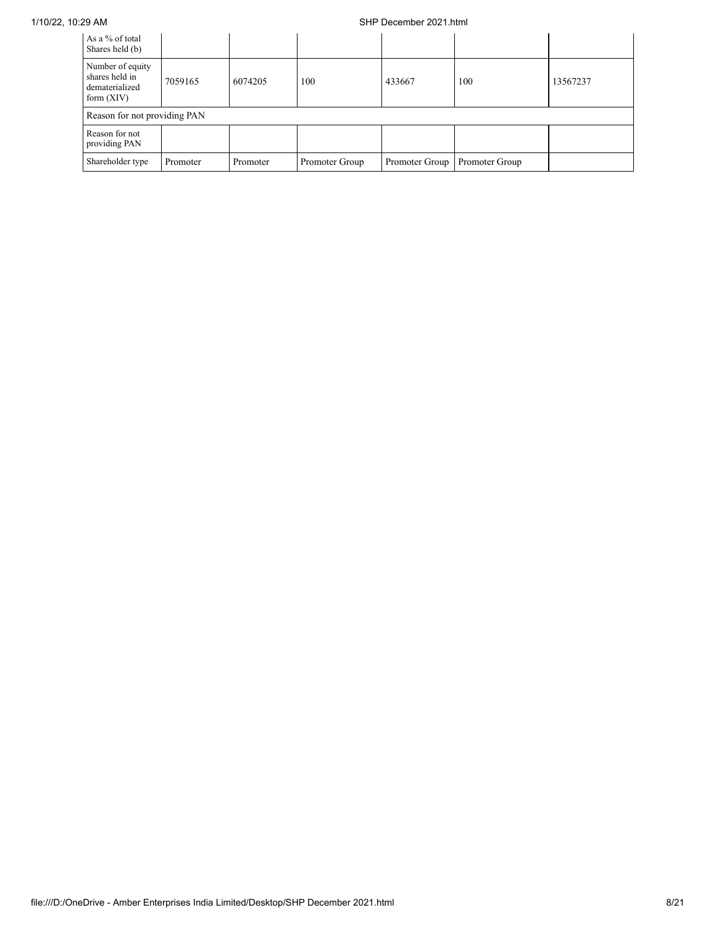### 1/10/22, 10:29 AM SHP December 2021.html

| As a % of total<br>Shares held (b)                                   |          |          |                |                |                |          |
|----------------------------------------------------------------------|----------|----------|----------------|----------------|----------------|----------|
| Number of equity<br>shares held in<br>dematerialized<br>form $(XIV)$ | 7059165  | 6074205  | 100            | 433667         | 100            | 13567237 |
| Reason for not providing PAN                                         |          |          |                |                |                |          |
| Reason for not<br>providing PAN                                      |          |          |                |                |                |          |
| Shareholder type                                                     | Promoter | Promoter | Promoter Group | Promoter Group | Promoter Group |          |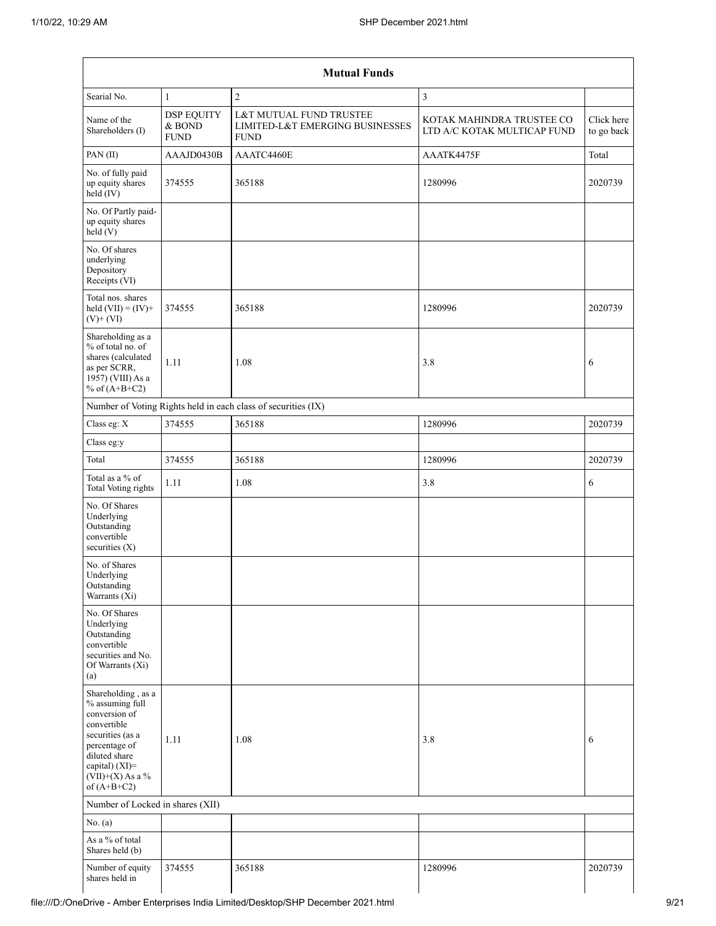| <b>Mutual Funds</b>                                                                                                                                                                  |                                            |                                                                           |                                                          |                          |  |  |  |  |  |  |  |
|--------------------------------------------------------------------------------------------------------------------------------------------------------------------------------------|--------------------------------------------|---------------------------------------------------------------------------|----------------------------------------------------------|--------------------------|--|--|--|--|--|--|--|
| Searial No.                                                                                                                                                                          | $\mathbf{1}$                               | $\overline{c}$                                                            | $\overline{\mathbf{3}}$                                  |                          |  |  |  |  |  |  |  |
| Name of the<br>Shareholders (I)                                                                                                                                                      | <b>DSP EQUITY</b><br>& BOND<br><b>FUND</b> | L&T MUTUAL FUND TRUSTEE<br>LIMITED-L&T EMERGING BUSINESSES<br><b>FUND</b> | KOTAK MAHINDRA TRUSTEE CO<br>LTD A/C KOTAK MULTICAP FUND | Click here<br>to go back |  |  |  |  |  |  |  |
| PAN (II)                                                                                                                                                                             | AAAJD0430B                                 | AAATC4460E                                                                | AAATK4475F                                               | Total                    |  |  |  |  |  |  |  |
| No. of fully paid<br>up equity shares<br>$held$ (IV)                                                                                                                                 | 374555                                     | 365188                                                                    | 1280996                                                  | 2020739                  |  |  |  |  |  |  |  |
| No. Of Partly paid-<br>up equity shares<br>held(V)                                                                                                                                   |                                            |                                                                           |                                                          |                          |  |  |  |  |  |  |  |
| No. Of shares<br>underlying<br>Depository<br>Receipts (VI)                                                                                                                           |                                            |                                                                           |                                                          |                          |  |  |  |  |  |  |  |
| Total nos. shares<br>held $(VII) = (IV) +$<br>$(V)$ + $(VI)$                                                                                                                         | 374555                                     | 365188                                                                    | 1280996                                                  | 2020739                  |  |  |  |  |  |  |  |
| Shareholding as a<br>% of total no. of<br>shares (calculated<br>as per SCRR,<br>1957) (VIII) As a<br>% of $(A+B+C2)$                                                                 | 1.11                                       | 1.08                                                                      | 3.8                                                      | 6                        |  |  |  |  |  |  |  |
|                                                                                                                                                                                      |                                            | Number of Voting Rights held in each class of securities (IX)             |                                                          |                          |  |  |  |  |  |  |  |
| Class eg: X                                                                                                                                                                          | 374555                                     | 365188                                                                    | 1280996                                                  | 2020739                  |  |  |  |  |  |  |  |
| Class eg:y                                                                                                                                                                           |                                            |                                                                           |                                                          |                          |  |  |  |  |  |  |  |
| Total                                                                                                                                                                                | 374555                                     | 365188                                                                    | 1280996                                                  | 2020739                  |  |  |  |  |  |  |  |
| Total as a % of<br><b>Total Voting rights</b>                                                                                                                                        | 1.11                                       | 1.08                                                                      | 3.8                                                      | 6                        |  |  |  |  |  |  |  |
| No. Of Shares<br>Underlying<br>Outstanding<br>convertible<br>securities (X)                                                                                                          |                                            |                                                                           |                                                          |                          |  |  |  |  |  |  |  |
| No. of Shares<br>Underlying<br>Outstanding<br>Warrants (Xi)                                                                                                                          |                                            |                                                                           |                                                          |                          |  |  |  |  |  |  |  |
| No. Of Shares<br>Underlying<br>Outstanding<br>convertible<br>securities and No.<br>Of Warrants (Xi)<br>(a)                                                                           |                                            |                                                                           |                                                          |                          |  |  |  |  |  |  |  |
| Shareholding, as a<br>% assuming full<br>conversion of<br>convertible<br>securities (as a<br>percentage of<br>diluted share<br>capital) (XI)=<br>$(VII)+(X)$ As a %<br>of $(A+B+C2)$ | 1.11                                       | 1.08                                                                      | 3.8                                                      | 6                        |  |  |  |  |  |  |  |
| Number of Locked in shares (XII)                                                                                                                                                     |                                            |                                                                           |                                                          |                          |  |  |  |  |  |  |  |
| No. $(a)$                                                                                                                                                                            |                                            |                                                                           |                                                          |                          |  |  |  |  |  |  |  |
| As a % of total<br>Shares held (b)                                                                                                                                                   |                                            |                                                                           |                                                          |                          |  |  |  |  |  |  |  |
| Number of equity<br>shares held in                                                                                                                                                   | 374555                                     | 365188                                                                    | 1280996                                                  | 2020739                  |  |  |  |  |  |  |  |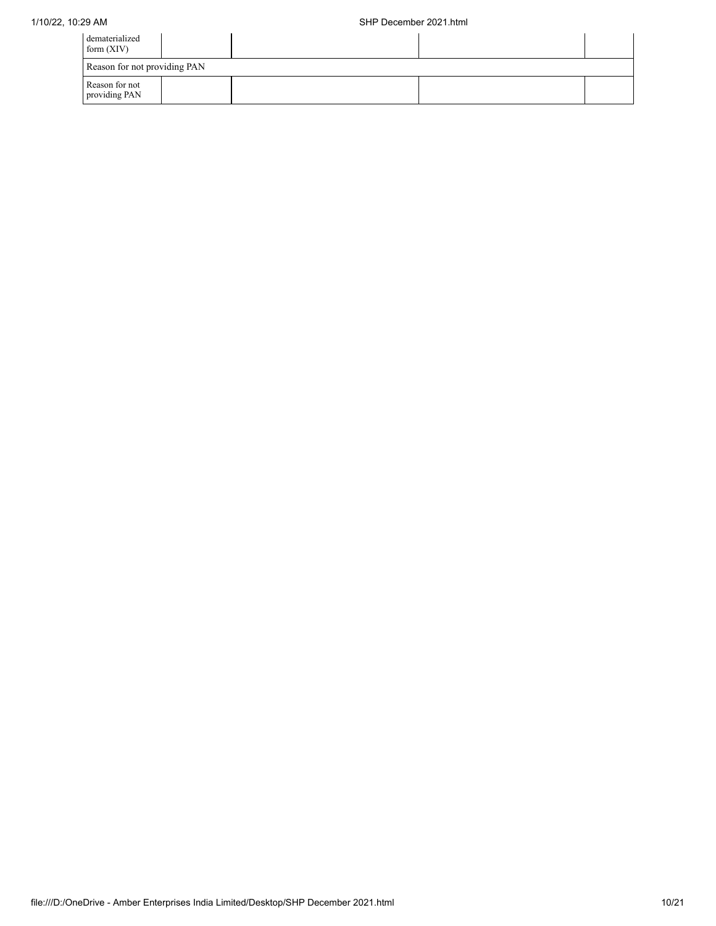| dematerialized<br>form $(XIV)$  |  |  |
|---------------------------------|--|--|
| Reason for not providing PAN    |  |  |
| Reason for not<br>providing PAN |  |  |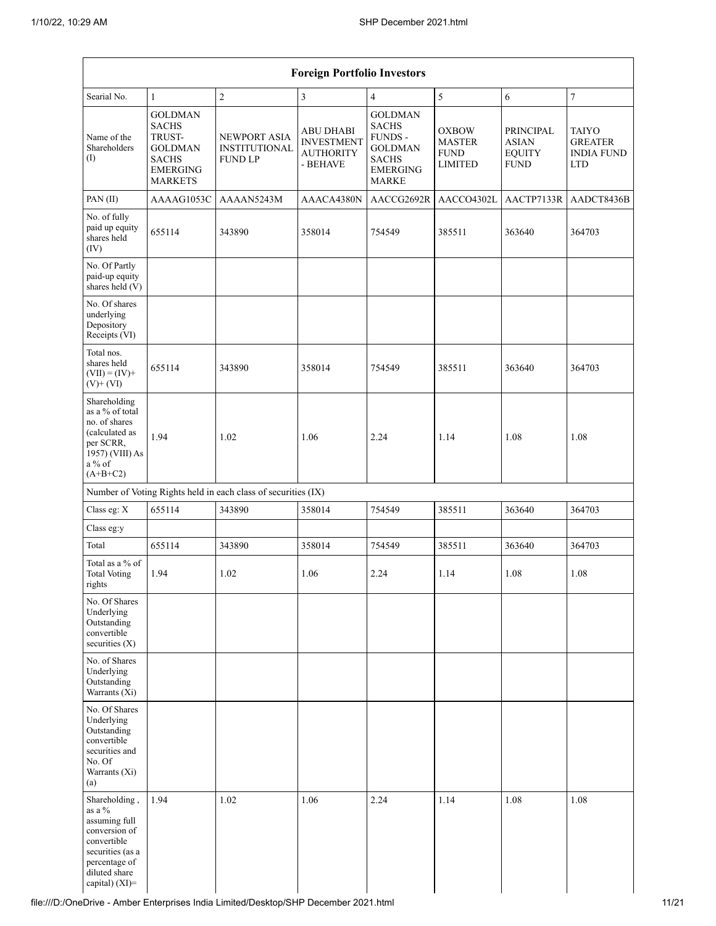| <b>Foreign Portfolio Investors</b>                                                                                                                  |                                                                                                   |                                                               |                                                                       |                                                                                                                |                                                                |                                                                  |                                                                   |  |  |  |  |
|-----------------------------------------------------------------------------------------------------------------------------------------------------|---------------------------------------------------------------------------------------------------|---------------------------------------------------------------|-----------------------------------------------------------------------|----------------------------------------------------------------------------------------------------------------|----------------------------------------------------------------|------------------------------------------------------------------|-------------------------------------------------------------------|--|--|--|--|
| Searial No.                                                                                                                                         | $\mathbf{1}$                                                                                      | $\sqrt{2}$                                                    | 3                                                                     | $\overline{4}$                                                                                                 | $\sqrt{5}$                                                     | $\boldsymbol{6}$                                                 | $\boldsymbol{7}$                                                  |  |  |  |  |
| Name of the<br>Shareholders<br>(I)                                                                                                                  | <b>GOLDMAN</b><br><b>SACHS</b><br>TRUST-<br>GOLDMAN<br>SACHS<br><b>EMERGING</b><br><b>MARKETS</b> | NEWPORT ASIA<br><b>INSTITUTIONAL</b><br><b>FUND LP</b>        | <b>ABU DHABI</b><br><b>INVESTMENT</b><br><b>AUTHORITY</b><br>- BEHAVE | <b>GOLDMAN</b><br><b>SACHS</b><br>FUNDS -<br><b>GOLDMAN</b><br><b>SACHS</b><br><b>EMERGING</b><br><b>MARKE</b> | <b>OXBOW</b><br><b>MASTER</b><br><b>FUND</b><br><b>LIMITED</b> | <b>PRINCIPAL</b><br><b>ASIAN</b><br><b>EQUITY</b><br><b>FUND</b> | <b>TAIYO</b><br><b>GREATER</b><br><b>INDIA FUND</b><br><b>LTD</b> |  |  |  |  |
| PAN(II)                                                                                                                                             | AAAAG1053C                                                                                        | AAAAN5243M                                                    | AAACA4380N                                                            | AACCG2692R                                                                                                     | AACCO4302L                                                     | AACTP7133R                                                       | AADCT8436B                                                        |  |  |  |  |
| No. of fully<br>paid up equity<br>shares held<br>(IV)                                                                                               | 655114                                                                                            | 343890                                                        | 358014                                                                | 754549                                                                                                         | 385511                                                         | 363640                                                           | 364703                                                            |  |  |  |  |
| No. Of Partly<br>paid-up equity<br>shares held (V)                                                                                                  |                                                                                                   |                                                               |                                                                       |                                                                                                                |                                                                |                                                                  |                                                                   |  |  |  |  |
| No. Of shares<br>underlying<br>Depository<br>Receipts (VI)                                                                                          |                                                                                                   |                                                               |                                                                       |                                                                                                                |                                                                |                                                                  |                                                                   |  |  |  |  |
| Total nos.<br>shares held<br>$(VII) = (IV) +$<br>$(V)$ + $(VI)$                                                                                     | 655114                                                                                            | 343890                                                        | 358014                                                                | 754549                                                                                                         | 385511                                                         | 363640                                                           | 364703                                                            |  |  |  |  |
| Shareholding<br>as a % of total<br>no. of shares<br>(calculated as<br>per SCRR,<br>1957) (VIII) As<br>$a\%$ of<br>$(A+B+C2)$                        | 1.94                                                                                              | 1.02                                                          | 1.06                                                                  | 2.24                                                                                                           | 1.14                                                           | 1.08                                                             | 1.08                                                              |  |  |  |  |
|                                                                                                                                                     |                                                                                                   | Number of Voting Rights held in each class of securities (IX) |                                                                       |                                                                                                                |                                                                |                                                                  |                                                                   |  |  |  |  |
| Class eg: X                                                                                                                                         | 655114                                                                                            | 343890                                                        | 358014                                                                | 754549                                                                                                         | 385511                                                         | 363640                                                           | 364703                                                            |  |  |  |  |
| Class eg:y                                                                                                                                          |                                                                                                   |                                                               |                                                                       |                                                                                                                |                                                                |                                                                  |                                                                   |  |  |  |  |
| Total                                                                                                                                               | 655114                                                                                            | 343890                                                        | 358014                                                                | 754549                                                                                                         | 385511                                                         | 363640                                                           | 364703                                                            |  |  |  |  |
| Total as a % of<br><b>Total Voting</b><br>rights                                                                                                    | 1.94                                                                                              | 1.02                                                          | 1.06                                                                  | 2.24                                                                                                           | 1.14                                                           | 1.08                                                             | 1.08                                                              |  |  |  |  |
| No. Of Shares<br>Underlying<br>Outstanding<br>convertible<br>securities $(X)$                                                                       |                                                                                                   |                                                               |                                                                       |                                                                                                                |                                                                |                                                                  |                                                                   |  |  |  |  |
| No. of Shares<br>Underlying<br>Outstanding<br>Warrants (Xi)                                                                                         |                                                                                                   |                                                               |                                                                       |                                                                                                                |                                                                |                                                                  |                                                                   |  |  |  |  |
| No. Of Shares<br>Underlying<br>Outstanding<br>convertible<br>securities and<br>No. Of<br>Warrants (Xi)<br>(a)                                       |                                                                                                   |                                                               |                                                                       |                                                                                                                |                                                                |                                                                  |                                                                   |  |  |  |  |
| Shareholding,<br>as a $\%$<br>assuming full<br>conversion of<br>convertible<br>securities (as a<br>percentage of<br>diluted share<br>capital) (XI)= | 1.94                                                                                              | 1.02                                                          | 1.06                                                                  | 2.24                                                                                                           | 1.14                                                           | 1.08                                                             | 1.08                                                              |  |  |  |  |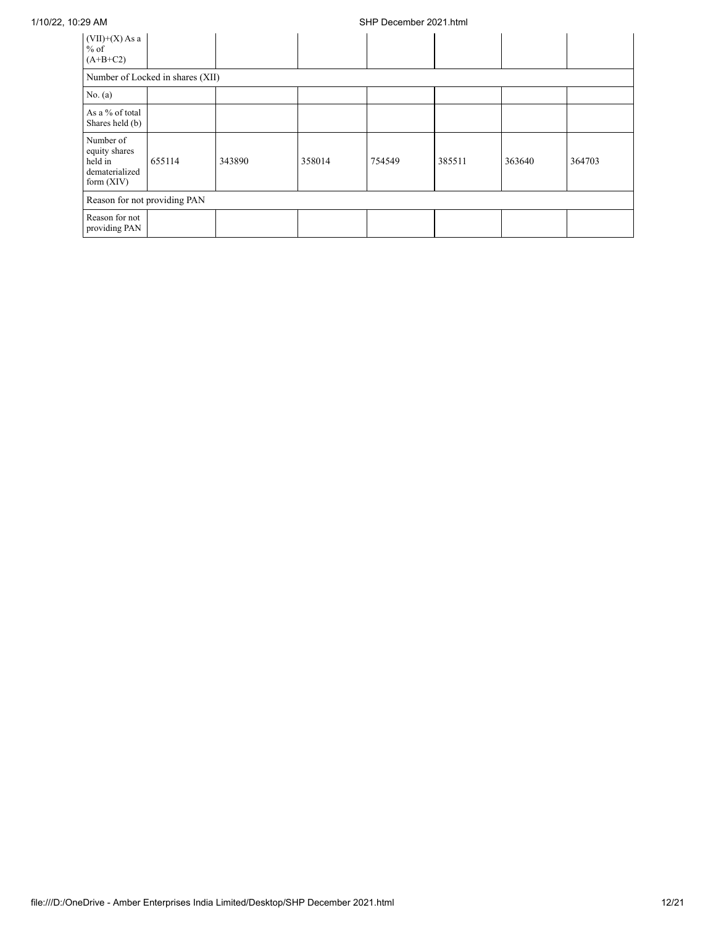## 1/10/22, 10:29 AM SHP December 2021.html

| $(VII)+(X)$ As a<br>$%$ of<br>$(A+B+C2)$                                |                                  |        |        |        |        |        |        |  |  |
|-------------------------------------------------------------------------|----------------------------------|--------|--------|--------|--------|--------|--------|--|--|
|                                                                         | Number of Locked in shares (XII) |        |        |        |        |        |        |  |  |
| No. $(a)$                                                               |                                  |        |        |        |        |        |        |  |  |
| As a % of total<br>Shares held (b)                                      |                                  |        |        |        |        |        |        |  |  |
| Number of<br>equity shares<br>held in<br>dematerialized<br>form $(XIV)$ | 655114                           | 343890 | 358014 | 754549 | 385511 | 363640 | 364703 |  |  |
| Reason for not providing PAN                                            |                                  |        |        |        |        |        |        |  |  |
| Reason for not<br>providing PAN                                         |                                  |        |        |        |        |        |        |  |  |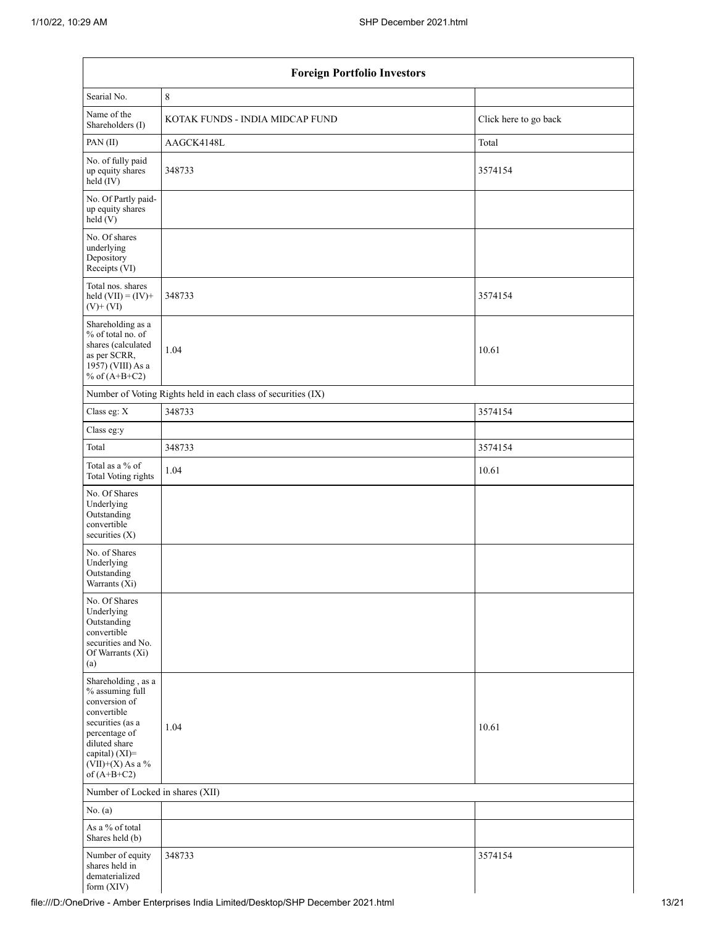| <b>Foreign Portfolio Investors</b>                                                                                                                                                   |                                                               |                       |  |  |  |  |  |
|--------------------------------------------------------------------------------------------------------------------------------------------------------------------------------------|---------------------------------------------------------------|-----------------------|--|--|--|--|--|
| Searial No.                                                                                                                                                                          | $\,8\,$                                                       |                       |  |  |  |  |  |
| Name of the<br>Shareholders (I)                                                                                                                                                      | KOTAK FUNDS - INDIA MIDCAP FUND                               | Click here to go back |  |  |  |  |  |
| PAN(II)                                                                                                                                                                              | AAGCK4148L                                                    | Total                 |  |  |  |  |  |
| No. of fully paid<br>up equity shares<br>$held$ (IV)                                                                                                                                 | 348733                                                        | 3574154               |  |  |  |  |  |
| No. Of Partly paid-<br>up equity shares<br>held(V)                                                                                                                                   |                                                               |                       |  |  |  |  |  |
| No. Of shares<br>underlying<br>Depository<br>Receipts (VI)                                                                                                                           |                                                               |                       |  |  |  |  |  |
| Total nos. shares<br>held $(VII) = (IV) +$<br>$(V)$ + $(VI)$                                                                                                                         | 348733                                                        | 3574154               |  |  |  |  |  |
| Shareholding as a<br>% of total no. of<br>shares (calculated<br>as per SCRR,<br>1957) (VIII) As a<br>% of $(A+B+C2)$                                                                 | 1.04                                                          | 10.61                 |  |  |  |  |  |
|                                                                                                                                                                                      | Number of Voting Rights held in each class of securities (IX) |                       |  |  |  |  |  |
| Class eg: X                                                                                                                                                                          | 348733                                                        | 3574154               |  |  |  |  |  |
| Class eg:y                                                                                                                                                                           |                                                               |                       |  |  |  |  |  |
| Total                                                                                                                                                                                | 348733                                                        | 3574154               |  |  |  |  |  |
| Total as a % of<br><b>Total Voting rights</b>                                                                                                                                        | 1.04                                                          | 10.61                 |  |  |  |  |  |
| No. Of Shares<br>Underlying<br>Outstanding<br>convertible<br>securities (X)                                                                                                          |                                                               |                       |  |  |  |  |  |
| No. of Shares<br>Underlying<br>Outstanding<br>Warrants (Xi)                                                                                                                          |                                                               |                       |  |  |  |  |  |
| No. Of Shares<br>Underlying<br>Outstanding<br>convertible<br>securities and No.<br>Of Warrants (Xi)<br>(a)                                                                           |                                                               |                       |  |  |  |  |  |
| Shareholding, as a<br>% assuming full<br>conversion of<br>convertible<br>securities (as a<br>percentage of<br>diluted share<br>capital) (XI)=<br>$(VII)+(X)$ As a %<br>of $(A+B+C2)$ | 1.04                                                          | 10.61                 |  |  |  |  |  |
|                                                                                                                                                                                      | Number of Locked in shares (XII)                              |                       |  |  |  |  |  |
| No. $(a)$                                                                                                                                                                            |                                                               |                       |  |  |  |  |  |
| As a % of total<br>Shares held (b)                                                                                                                                                   |                                                               |                       |  |  |  |  |  |
| Number of equity<br>shares held in<br>dematerialized<br>form (XIV)                                                                                                                   | 348733                                                        | 3574154               |  |  |  |  |  |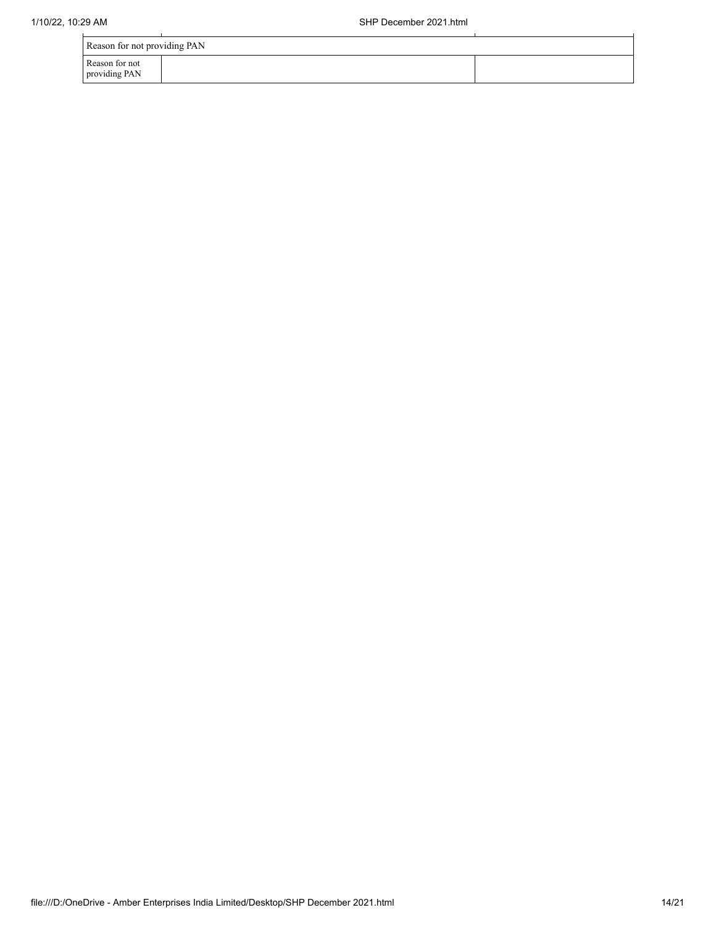| Reason for not providing PAN    |  |  |  |  |  |  |
|---------------------------------|--|--|--|--|--|--|
| Reason for not<br>providing PAN |  |  |  |  |  |  |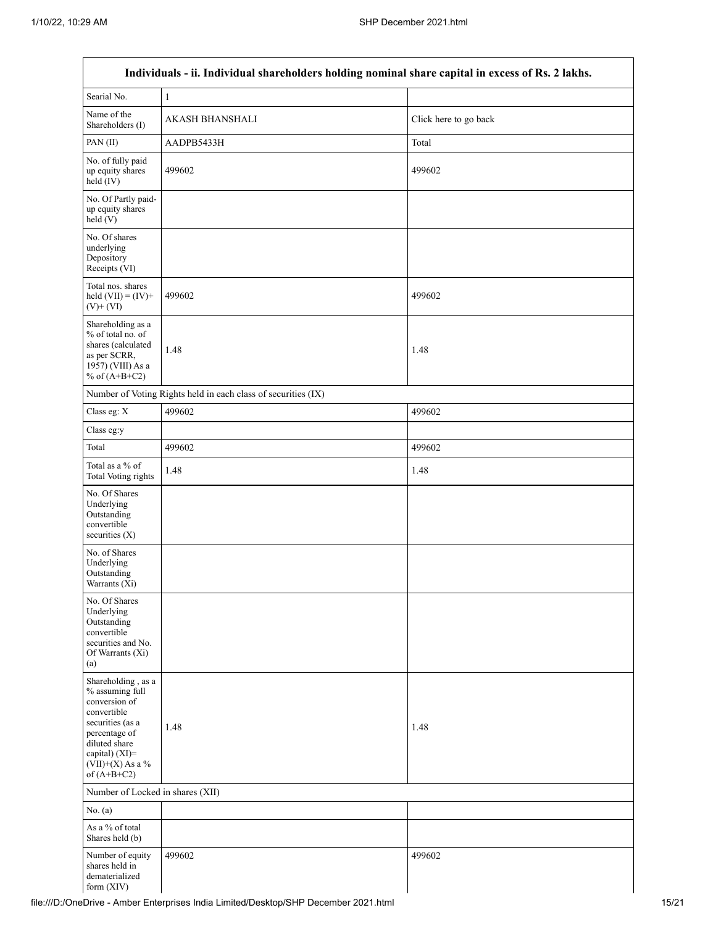Г

| Individuals - ii. Individual shareholders holding nominal share capital in excess of Rs. 2 lakhs.                                                                                    |                                                               |                       |  |  |  |  |
|--------------------------------------------------------------------------------------------------------------------------------------------------------------------------------------|---------------------------------------------------------------|-----------------------|--|--|--|--|
| Searial No.                                                                                                                                                                          | $\,1$                                                         |                       |  |  |  |  |
| Name of the<br>Shareholders (I)                                                                                                                                                      | AKASH BHANSHALI                                               | Click here to go back |  |  |  |  |
| PAN (II)                                                                                                                                                                             | AADPB5433H                                                    | Total                 |  |  |  |  |
| No. of fully paid<br>up equity shares<br>held (IV)                                                                                                                                   | 499602                                                        | 499602                |  |  |  |  |
| No. Of Partly paid-<br>up equity shares<br>held(V)                                                                                                                                   |                                                               |                       |  |  |  |  |
| No. Of shares<br>underlying<br>Depository<br>Receipts (VI)                                                                                                                           |                                                               |                       |  |  |  |  |
| Total nos. shares<br>held $(VII) = (IV) +$<br>$(V)$ + $(VI)$                                                                                                                         | 499602                                                        | 499602                |  |  |  |  |
| Shareholding as a<br>% of total no. of<br>shares (calculated<br>as per SCRR,<br>1957) (VIII) As a<br>% of $(A+B+C2)$                                                                 | 1.48                                                          | 1.48                  |  |  |  |  |
|                                                                                                                                                                                      | Number of Voting Rights held in each class of securities (IX) |                       |  |  |  |  |
| Class eg: X                                                                                                                                                                          | 499602                                                        | 499602                |  |  |  |  |
| Class eg:y                                                                                                                                                                           |                                                               |                       |  |  |  |  |
| Total                                                                                                                                                                                | 499602                                                        | 499602                |  |  |  |  |
| Total as a % of<br>Total Voting rights                                                                                                                                               | 1.48                                                          | 1.48                  |  |  |  |  |
| No. Of Shares<br>Underlying<br>Outstanding<br>convertible<br>securities $(X)$                                                                                                        |                                                               |                       |  |  |  |  |
| No. of Shares<br>Underlying<br>Outstanding<br>Warrants $(\bar{X}i)$                                                                                                                  |                                                               |                       |  |  |  |  |
| No. Of Shares<br>Underlying<br>Outstanding<br>convertible<br>securities and No.<br>Of Warrants (Xi)<br>(a)                                                                           |                                                               |                       |  |  |  |  |
| Shareholding, as a<br>% assuming full<br>conversion of<br>convertible<br>securities (as a<br>percentage of<br>diluted share<br>capital) (XI)=<br>$(VII)+(X)$ As a %<br>of $(A+B+C2)$ | 1.48                                                          | 1.48                  |  |  |  |  |
|                                                                                                                                                                                      | Number of Locked in shares (XII)                              |                       |  |  |  |  |
| No. $(a)$                                                                                                                                                                            |                                                               |                       |  |  |  |  |
| As a % of total<br>Shares held (b)                                                                                                                                                   |                                                               |                       |  |  |  |  |
| Number of equity<br>shares held in<br>dematerialized<br>form (XIV)                                                                                                                   | 499602                                                        | 499602                |  |  |  |  |

 $\overline{\phantom{0}}$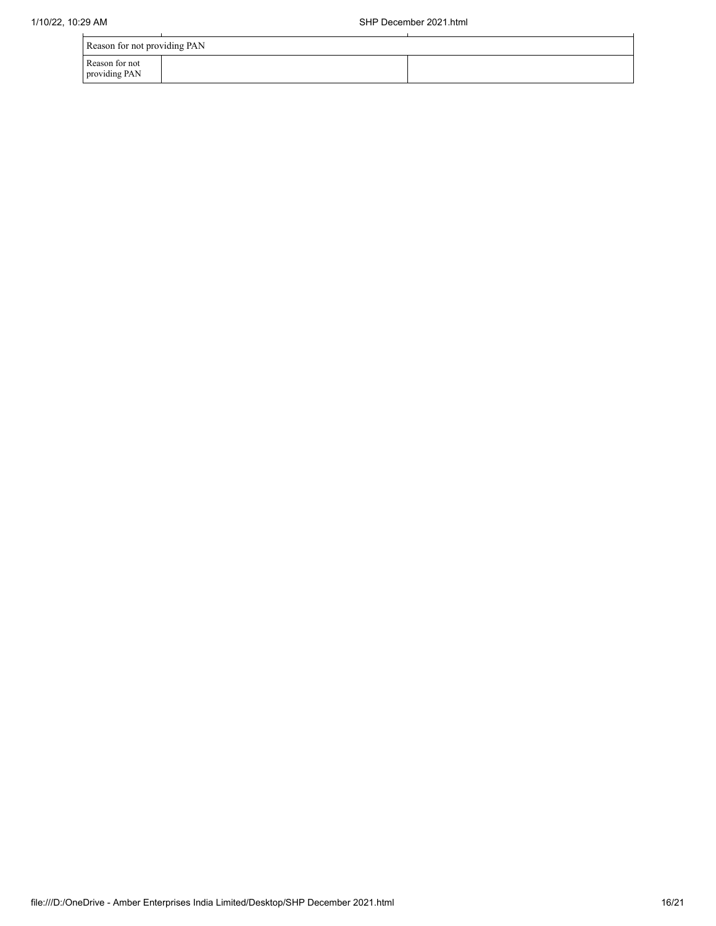| Reason for not providing PAN    |  |  |  |  |
|---------------------------------|--|--|--|--|
| Reason for not<br>providing PAN |  |  |  |  |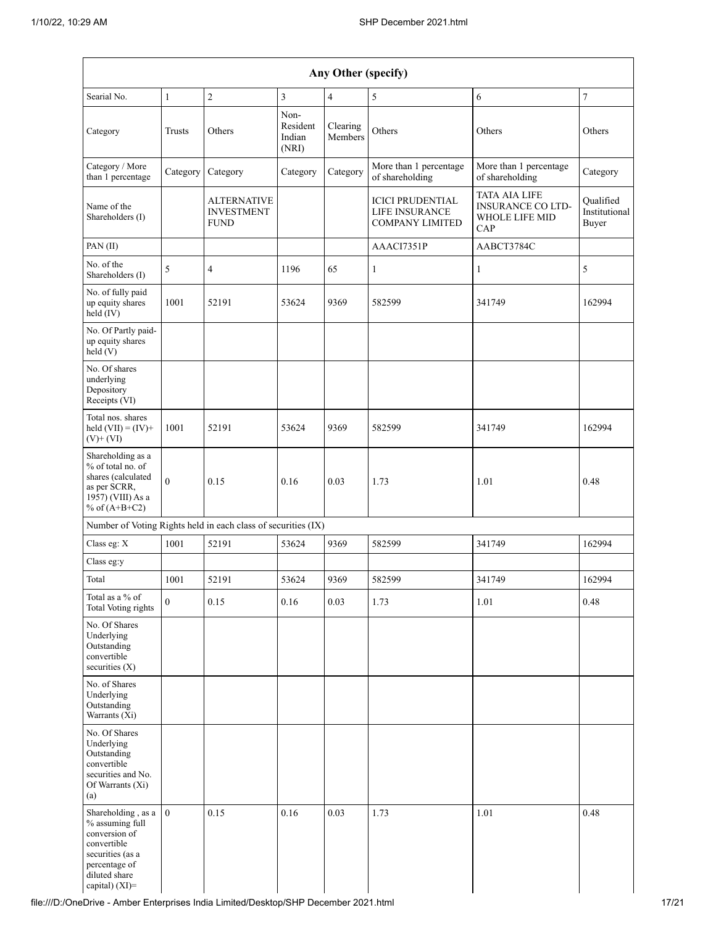| Any Other (specify)                                                                                                                           |              |                                                        |                                     |                     |                                                                            |                                                                                  |                                     |
|-----------------------------------------------------------------------------------------------------------------------------------------------|--------------|--------------------------------------------------------|-------------------------------------|---------------------|----------------------------------------------------------------------------|----------------------------------------------------------------------------------|-------------------------------------|
| Searial No.                                                                                                                                   | $\mathbf{1}$ | $\sqrt{2}$                                             | 3                                   | $\overline{4}$      | $\sqrt{5}$                                                                 | 6                                                                                | $\boldsymbol{7}$                    |
| Category                                                                                                                                      | Trusts       | Others                                                 | Non-<br>Resident<br>Indian<br>(NRI) | Clearing<br>Members | Others                                                                     | Others                                                                           | Others                              |
| Category / More<br>than 1 percentage                                                                                                          | Category     | Category                                               | Category                            | Category            | More than 1 percentage<br>of shareholding                                  | More than 1 percentage<br>of shareholding                                        | Category                            |
| Name of the<br>Shareholders (I)                                                                                                               |              | <b>ALTERNATIVE</b><br><b>INVESTMENT</b><br><b>FUND</b> |                                     |                     | <b>ICICI PRUDENTIAL</b><br><b>LIFE INSURANCE</b><br><b>COMPANY LIMITED</b> | <b>TATA AIA LIFE</b><br><b>INSURANCE CO LTD-</b><br><b>WHOLE LIFE MID</b><br>CAP | Qualified<br>Institutional<br>Buyer |
| PAN(II)                                                                                                                                       |              |                                                        |                                     |                     | AAACI7351P                                                                 | AABCT3784C                                                                       |                                     |
| No. of the<br>Shareholders (I)                                                                                                                | 5            | 4                                                      | 1196                                | 65                  | $\mathbf{1}$                                                               | 1                                                                                | 5                                   |
| No. of fully paid<br>up equity shares<br>held (IV)                                                                                            | 1001         | 52191                                                  | 53624                               | 9369                | 582599                                                                     | 341749                                                                           | 162994                              |
| No. Of Partly paid-<br>up equity shares<br>held(V)                                                                                            |              |                                                        |                                     |                     |                                                                            |                                                                                  |                                     |
| No. Of shares<br>underlying<br>Depository<br>Receipts (VI)                                                                                    |              |                                                        |                                     |                     |                                                                            |                                                                                  |                                     |
| Total nos. shares<br>held $(VII) = (IV) +$<br>$(V)$ + $(VI)$                                                                                  | 1001         | 52191                                                  | 53624                               | 9369                | 582599                                                                     | 341749                                                                           | 162994                              |
| Shareholding as a<br>% of total no. of<br>shares (calculated<br>as per SCRR,<br>1957) (VIII) As a<br>% of $(A+B+C2)$                          | $\theta$     | 0.15                                                   | 0.16                                | 0.03                | 1.73                                                                       | 1.01                                                                             | 0.48                                |
| Number of Voting Rights held in each class of securities (IX)                                                                                 |              |                                                        |                                     |                     |                                                                            |                                                                                  |                                     |
| Class eg: X                                                                                                                                   | 1001         | 52191                                                  | 53624                               | 9369                | 582599                                                                     | 341749                                                                           | 162994                              |
| Class eg:y                                                                                                                                    |              |                                                        |                                     |                     |                                                                            |                                                                                  |                                     |
| Total                                                                                                                                         | 1001         | 52191                                                  | 53624                               | 9369                | 582599                                                                     | 341749                                                                           | 162994                              |
| Total as a $\%$ of<br>Total Voting rights                                                                                                     | $\mathbf{0}$ | 0.15                                                   | 0.16                                | 0.03                | 1.73                                                                       | 1.01                                                                             | 0.48                                |
| No. Of Shares<br>Underlying<br>Outstanding<br>convertible<br>securities $(X)$                                                                 |              |                                                        |                                     |                     |                                                                            |                                                                                  |                                     |
| No. of Shares<br>Underlying<br>Outstanding<br>Warrants (Xi)                                                                                   |              |                                                        |                                     |                     |                                                                            |                                                                                  |                                     |
| No. Of Shares<br>Underlying<br>Outstanding<br>convertible<br>securities and No.<br>Of Warrants (Xi)<br>(a)                                    |              |                                                        |                                     |                     |                                                                            |                                                                                  |                                     |
| Shareholding, as a<br>% assuming full<br>conversion of<br>convertible<br>securities (as a<br>percentage of<br>diluted share<br>capital) (XI)= | $\mathbf{0}$ | 0.15                                                   | 0.16                                | 0.03                | 1.73                                                                       | 1.01                                                                             | 0.48                                |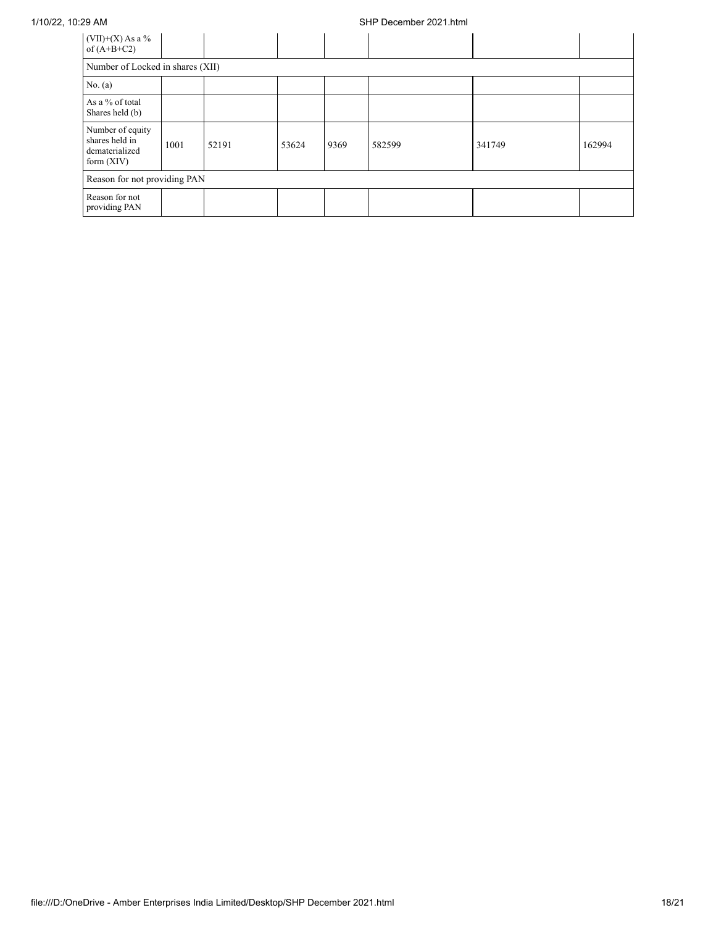### 1/10/22, 10:29 AM SHP December 2021.html

| $(VII)+(X)$ As a %<br>of $(A+B+C2)$                                  |      |       |       |      |        |        |        |
|----------------------------------------------------------------------|------|-------|-------|------|--------|--------|--------|
| Number of Locked in shares (XII)                                     |      |       |       |      |        |        |        |
| No. (a)                                                              |      |       |       |      |        |        |        |
| As a % of total<br>Shares held (b)                                   |      |       |       |      |        |        |        |
| Number of equity<br>shares held in<br>dematerialized<br>form $(XIV)$ | 1001 | 52191 | 53624 | 9369 | 582599 | 341749 | 162994 |
| Reason for not providing PAN                                         |      |       |       |      |        |        |        |
| Reason for not<br>providing PAN                                      |      |       |       |      |        |        |        |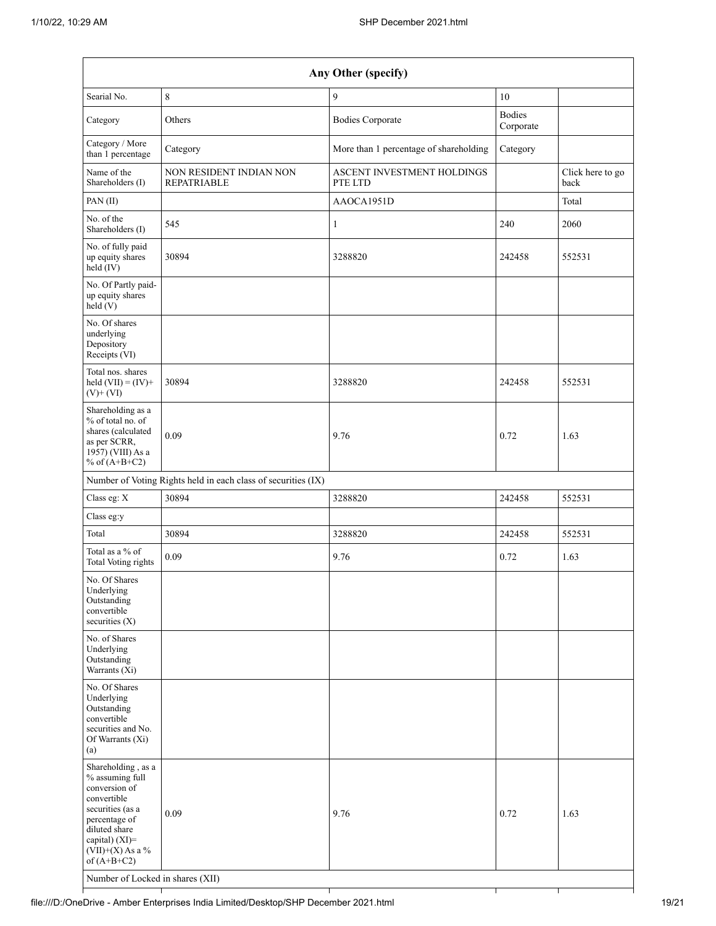| Any Other (specify)                                                                                                                                                                                                      |                                                               |                                        |                            |                          |  |  |  |
|--------------------------------------------------------------------------------------------------------------------------------------------------------------------------------------------------------------------------|---------------------------------------------------------------|----------------------------------------|----------------------------|--------------------------|--|--|--|
| Searial No.                                                                                                                                                                                                              | 8                                                             | 9                                      | 10                         |                          |  |  |  |
| Category                                                                                                                                                                                                                 | Others                                                        | <b>Bodies Corporate</b>                | <b>Bodies</b><br>Corporate |                          |  |  |  |
| Category / More<br>than 1 percentage                                                                                                                                                                                     | Category                                                      | More than 1 percentage of shareholding | Category                   |                          |  |  |  |
| Name of the<br>Shareholders (I)                                                                                                                                                                                          | NON RESIDENT INDIAN NON<br><b>REPATRIABLE</b>                 | ASCENT INVESTMENT HOLDINGS<br>PTE LTD  |                            | Click here to go<br>back |  |  |  |
| PAN(II)                                                                                                                                                                                                                  |                                                               | AAOCA1951D                             |                            | Total                    |  |  |  |
| No. of the<br>Shareholders (I)                                                                                                                                                                                           | 545                                                           | $\mathbf{1}$                           | 240                        | 2060                     |  |  |  |
| No. of fully paid<br>up equity shares<br>held (IV)                                                                                                                                                                       | 30894                                                         | 3288820                                | 242458                     | 552531                   |  |  |  |
| No. Of Partly paid-<br>up equity shares<br>held (V)                                                                                                                                                                      |                                                               |                                        |                            |                          |  |  |  |
| No. Of shares<br>underlying<br>Depository<br>Receipts (VI)                                                                                                                                                               |                                                               |                                        |                            |                          |  |  |  |
| Total nos. shares<br>held $(VII) = (IV) +$<br>$(V)$ + $(VI)$                                                                                                                                                             | 30894                                                         | 3288820                                | 242458                     | 552531                   |  |  |  |
| Shareholding as a<br>% of total no. of<br>shares (calculated<br>as per SCRR,<br>1957) (VIII) As a<br>% of $(A+B+C2)$                                                                                                     | 0.09                                                          | 9.76                                   | 0.72                       | 1.63                     |  |  |  |
|                                                                                                                                                                                                                          | Number of Voting Rights held in each class of securities (IX) |                                        |                            |                          |  |  |  |
| Class eg: X                                                                                                                                                                                                              | 30894                                                         | 3288820                                | 242458                     | 552531                   |  |  |  |
| Class eg:y                                                                                                                                                                                                               |                                                               |                                        |                            |                          |  |  |  |
| Total                                                                                                                                                                                                                    | 30894                                                         | 3288820                                | 242458                     | 552531                   |  |  |  |
| Total as a % of<br>Total Voting rights                                                                                                                                                                                   | 0.09                                                          | 9.76                                   | 0.72                       | 1.63                     |  |  |  |
| No. Of Shares<br>Underlying<br>Outstanding<br>convertible<br>securities (X)                                                                                                                                              |                                                               |                                        |                            |                          |  |  |  |
| No. of Shares<br>Underlying<br>Outstanding<br>Warrants (Xi)                                                                                                                                                              |                                                               |                                        |                            |                          |  |  |  |
| No. Of Shares<br>Underlying<br>Outstanding<br>convertible<br>securities and No.<br>Of Warrants (Xi)<br>(a)                                                                                                               |                                                               |                                        |                            |                          |  |  |  |
| Shareholding, as a<br>% assuming full<br>conversion of<br>convertible<br>securities (as a<br>percentage of<br>diluted share<br>capital) (XI)=<br>$(VII)+(X)$ As a %<br>of $(A+B+C2)$<br>Number of Locked in shares (XII) | 0.09                                                          | 9.76                                   | 0.72                       | 1.63                     |  |  |  |
|                                                                                                                                                                                                                          |                                                               |                                        |                            |                          |  |  |  |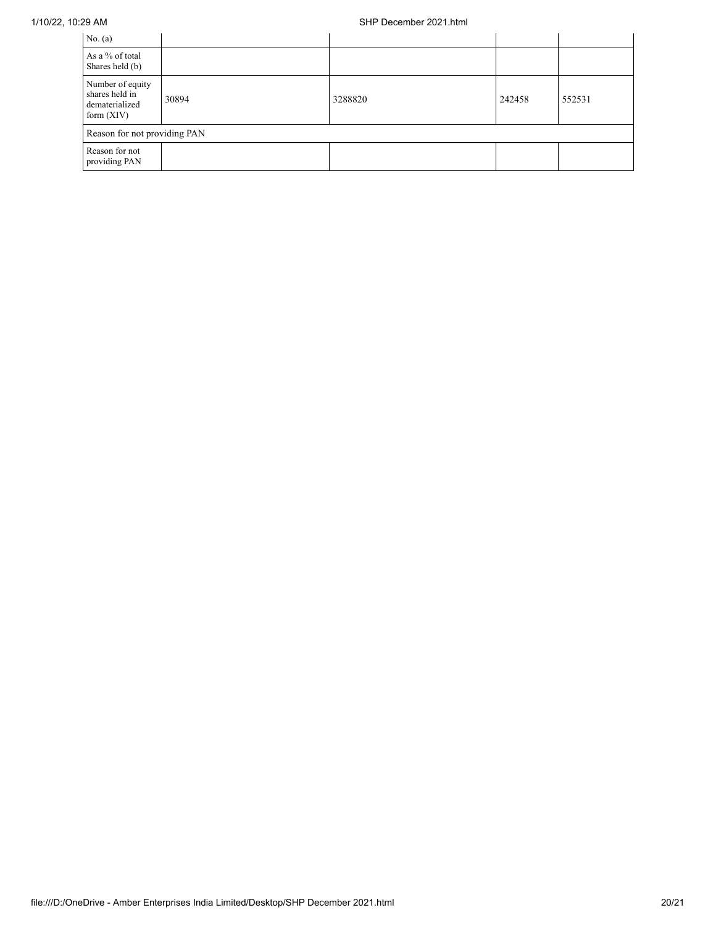| No. $(a)$                                                            |       |         |        |        |  |  |
|----------------------------------------------------------------------|-------|---------|--------|--------|--|--|
| As a % of total<br>Shares held (b)                                   |       |         |        |        |  |  |
| Number of equity<br>shares held in<br>dematerialized<br>form $(XIV)$ | 30894 | 3288820 | 242458 | 552531 |  |  |
| Reason for not providing PAN                                         |       |         |        |        |  |  |
| Reason for not<br>providing PAN                                      |       |         |        |        |  |  |